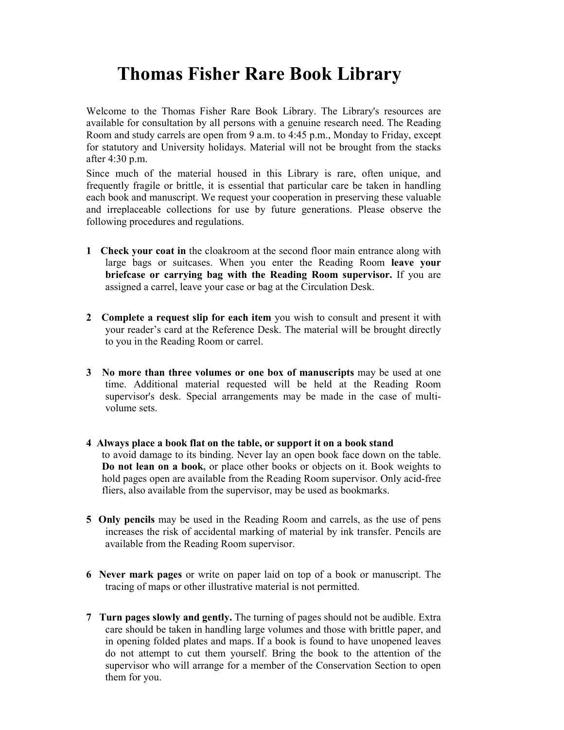## Thomas Fisher Rare Book Library

Welcome to the Thomas Fisher Rare Book Library. The Library's resources are available for consultation by all persons with a genuine research need. The Reading Room and study carrels are open from 9 a.m. to 4:45 p.m., Monday to Friday, except for statutory and University holidays. Material will not be brought from the stacks after 4:30 p.m.

Since much of the material housed in this Library is rare, often unique, and frequently fragile or brittle, it is essential that particular care be taken in handling each book and manuscript. We request your cooperation in preserving these valuable and irreplaceable collections for use by future generations. Please observe the following procedures and regulations.

- 1 Check your coat in the cloakroom at the second floor main entrance along with large bags or suitcases. When you enter the Reading Room leave your briefcase or carrying bag with the Reading Room supervisor. If you are assigned a carrel, leave your case or bag at the Circulation Desk.
- 2 Complete a request slip for each item you wish to consult and present it with your reader's card at the Reference Desk. The material will be brought directly to you in the Reading Room or carrel.
- 3 No more than three volumes or one box of manuscripts may be used at one time. Additional material requested will be held at the Reading Room supervisor's desk. Special arrangements may be made in the case of multivolume sets.
- 4 Always place a book flat on the table, or support it on a book stand to avoid damage to its binding. Never lay an open book face down on the table. Do not lean on a book, or place other books or objects on it. Book weights to hold pages open are available from the Reading Room supervisor. Only acid-free fliers, also available from the supervisor, may be used as bookmarks.
- 5 Only pencils may be used in the Reading Room and carrels, as the use of pens increases the risk of accidental marking of material by ink transfer. Pencils are available from the Reading Room supervisor.
- 6 Never mark pages or write on paper laid on top of a book or manuscript. The tracing of maps or other illustrative material is not permitted.
- 7 Turn pages slowly and gently. The turning of pages should not be audible. Extra care should be taken in handling large volumes and those with brittle paper, and in opening folded plates and maps. If a book is found to have unopened leaves do not attempt to cut them yourself. Bring the book to the attention of the supervisor who will arrange for a member of the Conservation Section to open them for you.